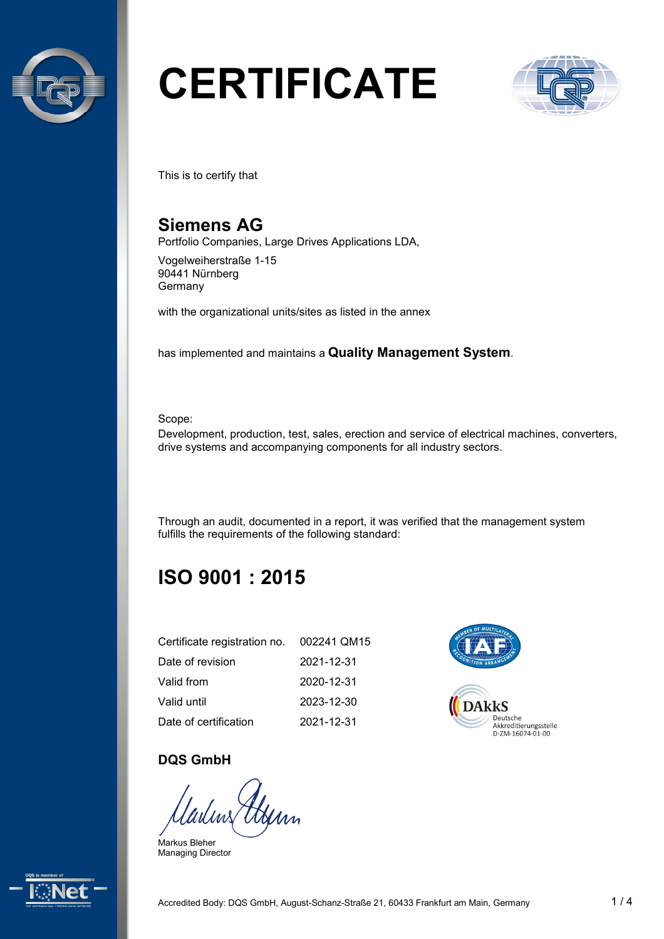

# **CERTIFICATE**



This is to certify that

# **Siemens AG**

Portfolio Companies, Large Drives Applications LDA,

Vogelweiherstraße 1-15 90441 Nürnberg **Germany** 

with the organizational units/sites as listed in the annex

has implemented and maintains a **Quality Management System**.

Scope:

Development, production, test, sales, erection and service of electrical machines, converters, drive systems and accompanying components for all industry sectors.

Through an audit, documented in a report, it was verified that the management system fulfills the requirements of the following standard:

# **ISO 9001 : 2015**

| Certificate registration no. 002241 QM15 |            |
|------------------------------------------|------------|
| Date of revision                         | 2021-12-31 |
| Valid from                               | 2020-12-31 |
| Valid until                              | 2023-12-30 |
| Date of certification                    | 2021-12-31 |



#### **DQS GmbH**

adus > Henn

Markus Bleher Managing Director

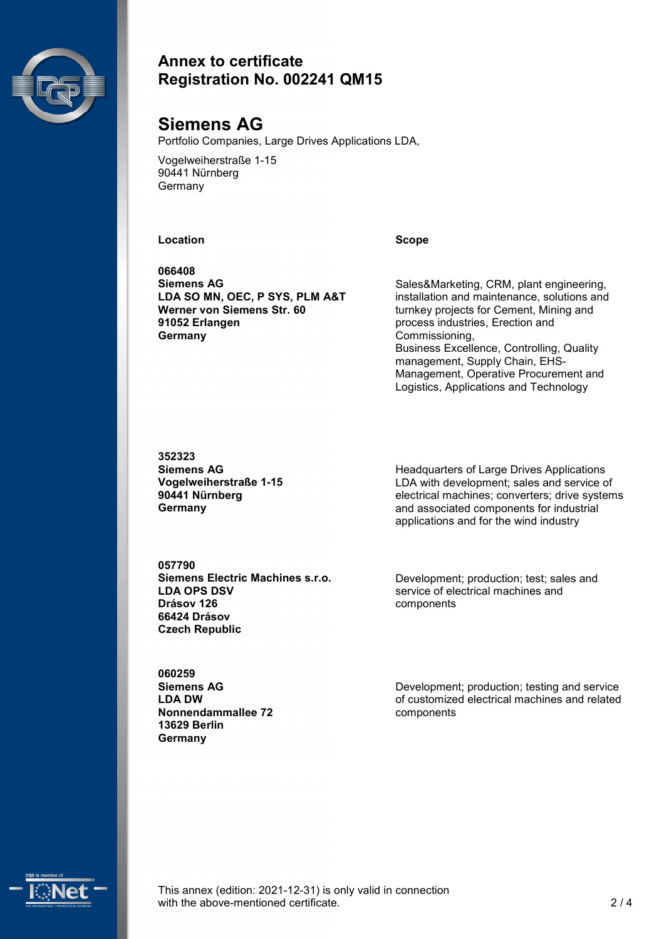

#### **Annex to certificate Registration No. 002241 QM15**

# **Siemens AG**

Portfolio Companies, Large Drives Applications LDA,

Vogelweiherstraße 1-15 90441 Nürnberg **Germany** 

#### **Location Scope**

**066408 Siemens AG LDA SO MN, OEC, P SYS, PLM A&T Werner von Siemens Str. 60 91052 Erlangen Germany**

Sales&Marketing, CRM, plant engineering, installation and maintenance, solutions and turnkey projects for Cement, Mining and process industries, Erection and Commissioning, Business Excellence, Controlling, Quality management, Supply Chain, EHS-Management, Operative Procurement and Logistics, Applications and Technology

**352323 Siemens AG Vogelweiherstraße 1-15 90441 Nürnberg Germany**

Headquarters of Large Drives Applications LDA with development; sales and service of electrical machines; converters; drive systems and associated components for industrial applications and for the wind industry

**057790 Siemens Electric Machines s.r.o. LDA OPS DSV Drásov 126 66424 Drásov Czech Republic**

Development; production; test; sales and service of electrical machines and components

**060259 Siemens AG LDA DW Nonnendammallee 72 13629 Berlin Germany**

Development; production; testing and service of customized electrical machines and related components



This annex (edition: 2021-12-31) is only valid in connection with the above-mentioned certificate. 2/4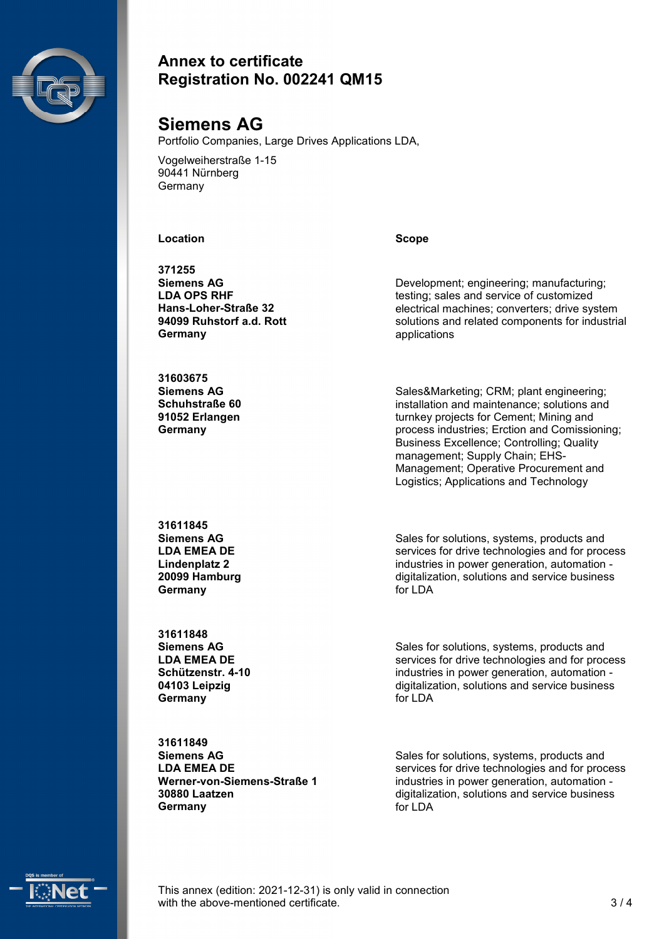

#### **Annex to certificate Registration No. 002241 QM15**

# **Siemens AG**

Portfolio Companies, Large Drives Applications LDA,

Vogelweiherstraße 1-15 90441 Nürnberg **Germany** 

#### **Location Scope**

**371255 Siemens AG LDA OPS RHF Hans-Loher-Straße 32 94099 Ruhstorf a.d. Rott Germany**

**31603675 Siemens AG Schuhstraße 60 91052 Erlangen Germany**

Development; engineering; manufacturing; testing; sales and service of customized electrical machines; converters; drive system solutions and related components for industrial applications

Sales&Marketing; CRM; plant engineering; installation and maintenance; solutions and turnkey projects for Cement; Mining and process industries; Erction and Comissioning; Business Excellence; Controlling; Quality management; Supply Chain; EHS-Management; Operative Procurement and Logistics; Applications and Technology

**31611845 Siemens AG LDA EMEA DE Lindenplatz 2 20099 Hamburg Germany**

**31611848 Siemens AG LDA EMEA DE Schützenstr. 4-10 04103 Leipzig Germany**

Sales for solutions, systems, products and services for drive technologies and for process industries in power generation, automation digitalization, solutions and service business for LDA

Sales for solutions, systems, products and services for drive technologies and for process industries in power generation, automation digitalization, solutions and service business for LDA

**31611849 Siemens AG LDA EMEA DE Werner-von-Siemens-Straße 1 30880 Laatzen Germany**

Sales for solutions, systems, products and services for drive technologies and for process industries in power generation, automation digitalization, solutions and service business for LDA



This annex (edition: 2021-12-31) is only valid in connection with the above-mentioned certificate.  $\frac{3}{4}$